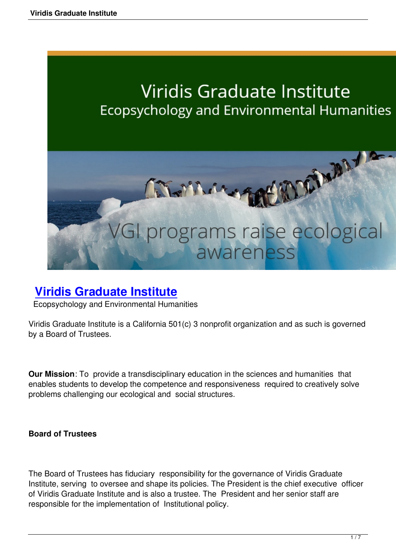# **Viridis Graduate Institute** Ecopsychology and Environmental Humanities



# **Viridis Graduate Institute**

Ecopsychology and Environmental Humanities

V[iridis Graduate Institute is a California 501](http://www.viridisinstitute.org/)(c) 3 nonprofit organization and as such is governed by a Board of Trustees.

**Our Mission**: To provide a transdisciplinary education in the sciences and humanities that enables students to develop the competence and responsiveness required to creatively solve problems challenging our ecological and social structures.

#### **Board of Trustees**

The Board of Trustees has fiduciary responsibility for the governance of Viridis Graduate Institute, serving to oversee and shape its policies. The President is the chief executive officer of Viridis Graduate Institute and is also a trustee. The President and her senior staff are responsible for the implementation of Institutional policy.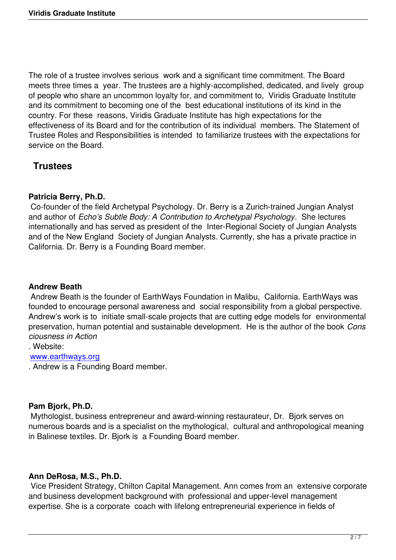The role of a trustee involves serious work and a significant time commitment. The Board meets three times a year. The trustees are a highly-accomplished, dedicated, and lively group of people who share an uncommon loyalty for, and commitment to, Viridis Graduate Institute and its commitment to becoming one of the best educational institutions of its kind in the country. For these reasons, Viridis Graduate Institute has high expectations for the effectiveness of its Board and for the contribution of its individual members. The Statement of Trustee Roles and Responsibilities is intended to familiarize trustees with the expectations for service on the Board.

# **Trustees**

#### **Patricia Berry, Ph.D.**

 Co-founder of the field Archetypal Psychology. Dr. Berry is a Zurich-trained Jungian Analyst and author of *Echo's Subtle Body: A Contribution to Archetypal Psychology*. She lectures internationally and has served as president of the Inter-Regional Society of Jungian Analysts and of the New England Society of Jungian Analysts. Currently, she has a private practice in California. Dr. Berry is a Founding Board member.

#### **Andrew Beath**

 Andrew Beath is the founder of EarthWays Foundation in Malibu, California. EarthWays was founded to encourage personal awareness and social responsibility from a global perspective. Andrew's work is to initiate small-scale projects that are cutting edge models for environmental preservation, human potential and sustainable development. He is the author of the book *Cons ciousness in Action*

. Website:

#### www.earthways.org

. Andrew is a Founding Board member.

#### **Pam Bjork, Ph.D.**

 Mythologist, business entrepreneur and award-winning restaurateur, Dr. Bjork serves on numerous boards and is a specialist on the mythological, cultural and anthropological meaning in Balinese textiles. Dr. Bjork is a Founding Board member.

#### **Ann DeRosa, M.S., Ph.D.**

 Vice President Strategy, Chilton Capital Management. Ann comes from an extensive corporate and business development background with professional and upper-level management expertise. She is a corporate coach with lifelong entrepreneurial experience in fields of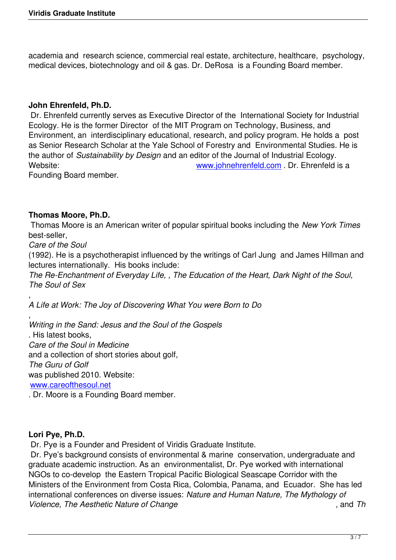academia and research science, commercial real estate, architecture, healthcare, psychology, medical devices, biotechnology and oil & gas. Dr. DeRosa is a Founding Board member.

#### **John Ehrenfeld, Ph.D.**

 Dr. Ehrenfeld currently serves as Executive Director of the International Society for Industrial Ecology. He is the former Director of the MIT Program on Technology, Business, and Environment, an interdisciplinary educational, research, and policy program. He holds a post as Senior Research Scholar at the Yale School of Forestry and Environmental Studies. He is the author of *Sustainability by Design* and an editor of the Journal of Industrial Ecology. Website: Website: www.johnehrenfeld.com . Dr. Ehrenfeld is a

Founding Board member.

#### **Thomas Moore, Ph.D.**

 Thomas Moore is an American writer of popular spiritual books including the *New York Times* best-seller,

*Care of the Soul*

(1992). He is a psychotherapist influenced by the writings of Carl Jung and James Hillman and lectures internationally. His books include:

*The Re-Enchantment of Everyday Life, , The Education of the Heart, Dark Night of the Soul, The Soul of Sex*

, *A Life at Work: The Joy of Discovering What You were Born to Do*

, *Writing in the Sand: Jesus and the Soul of the Gospels* . His latest books, *Care of the Soul in Medicine*  and a collection of short stories about golf, *The Guru of Golf* was published 2010. Website: www.careofthesoul.net

. Dr. Moore is a Founding Board member.

#### **Lori Pye, Ph.D.**

Dr. Pye is a Founder and President of Viridis Graduate Institute.

 Dr. Pye's background consists of environmental & marine conservation, undergraduate and graduate academic instruction. As an environmentalist, Dr. Pye worked with international NGOs to co-develop the Eastern Tropical Pacific Biological Seascape Corridor with the Ministers of the Environment from Costa Rica, Colombia, Panama, and Ecuador. She has led international conferences on diverse issues: *Nature and Human Nature, The Mythology of Violence, The Aesthetic Nature of Change* , and *Th*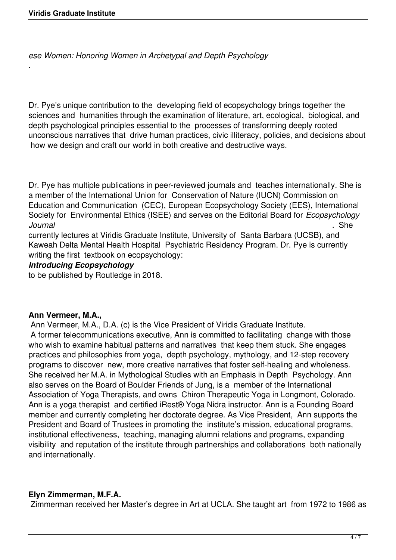.

*ese Women: Honoring Women in Archetypal and Depth Psychology*

Dr. Pye's unique contribution to the developing field of ecopsychology brings together the sciences and humanities through the examination of literature, art, ecological, biological, and depth psychological principles essential to the processes of transforming deeply rooted unconscious narratives that drive human practices, civic illiteracy, policies, and decisions about how we design and craft our world in both creative and destructive ways.

Dr. Pye has multiple publications in peer-reviewed journals and teaches internationally. She is a member of the International Union for Conservation of Nature (IUCN) Commission on Education and Communication (CEC), European Ecopsychology Society (EES), International Society for Environmental Ethics (ISEE) and serves on the Editorial Board for *Ecopsychology Journal* . She

currently lectures at Viridis Graduate Institute, University of Santa Barbara (UCSB), and Kaweah Delta Mental Health Hospital Psychiatric Residency Program. Dr. Pye is currently writing the first textbook on ecopsychology:

#### *Introducing Ecopsychology*

to be published by Routledge in 2018.

#### **Ann Vermeer, M.A.,**

 Ann Vermeer, M.A., D.A. (c) is the Vice President of Viridis Graduate Institute. A former telecommunications executive, Ann is committed to facilitating change with those who wish to examine habitual patterns and narratives that keep them stuck. She engages practices and philosophies from yoga, depth psychology, mythology, and 12-step recovery programs to discover new, more creative narratives that foster self-healing and wholeness. She received her M.A. in Mythological Studies with an Emphasis in Depth Psychology. Ann also serves on the Board of Boulder Friends of Jung, is a member of the International Association of Yoga Therapists, and owns Chiron Therapeutic Yoga in Longmont, Colorado. Ann is a yoga therapist and certified iRest® Yoga Nidra instructor. Ann is a Founding Board member and currently completing her doctorate degree. As Vice President, Ann supports the President and Board of Trustees in promoting the institute's mission, educational programs, institutional effectiveness, teaching, managing alumni relations and programs, expanding visibility and reputation of the institute through partnerships and collaborations both nationally and internationally.

#### **Elyn Zimmerman, M.F.A.**

Zimmerman received her Master's degree in Art at UCLA. She taught art from 1972 to 1986 as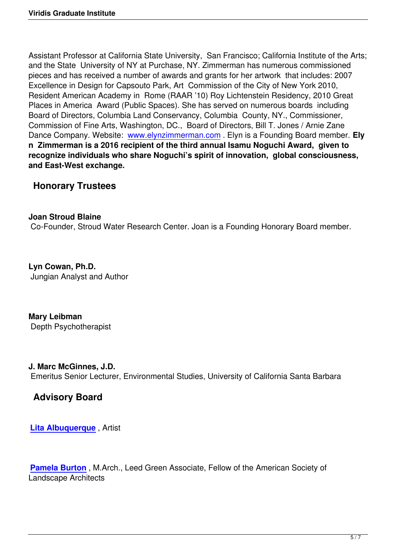Assistant Professor at California State University, San Francisco; California Institute of the Arts; and the State University of NY at Purchase, NY. Zimmerman has numerous commissioned pieces and has received a number of awards and grants for her artwork that includes: 2007 Excellence in Design for Capsouto Park, Art Commission of the City of New York 2010, Resident American Academy in Rome (RAAR '10) Roy Lichtenstein Residency, 2010 Great Places in America Award (Public Spaces). She has served on numerous boards including Board of Directors, Columbia Land Conservancy, Columbia County, NY., Commissioner, Commission of Fine Arts, Washington, DC., Board of Directors, Bill T. Jones / Arnie Zane Dance Company. Website: www.elynzimmerman.com . Elyn is a Founding Board member. **Ely n Zimmerman is a 2016 recipient of the third annual Isamu Noguchi Award, given to recognize individuals who share Noguchi's spirit of innovation, global consciousness, and East-West exchange.**

# **Honorary Trustees**

### **Joan Stroud Blaine**

Co-Founder, Stroud Water Research Center. Joan is a Founding Honorary Board member.

**Lyn Cowan, Ph.D.** Jungian Analyst and Author

**Mary Leibman** Depth Psychotherapist

#### **J. Marc McGinnes, J.D.**

Emeritus Senior Lecturer, Environmental Studies, University of California Santa Barbara

# **Advisory Board**

**Lita Albuquerque** , Artist

**[Pamela Burton](http://litaalbuquerque.com/)** , M.Arch., Leed Green Associate, Fellow of the American Society of Landscape Architects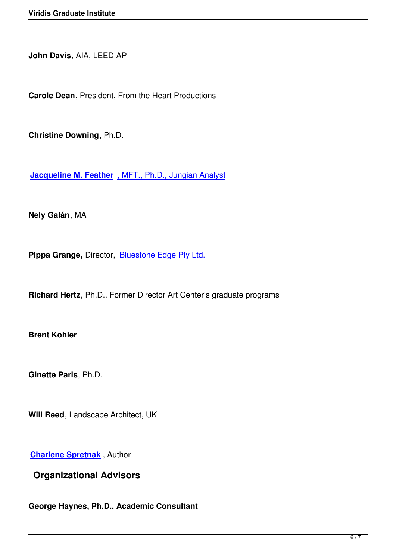**John Davis**, AIA, LEED AP

**Carole Dean**, President, From the Heart Productions

**Christine Downing**, Ph.D.

**Jacqueline M. Feather** , MFT., Ph.D., Jungian Analyst

**[Nely Galán](http://www.jacquelinefeather.com/)**, MA

Pippa Grange, Director, **Bluestone Edge Pty Ltd.** 

**Richard Hertz**, Ph.D.. Fo[rmer Director Art Center'](http://bluestoneedge.com/)s graduate programs

**Brent Kohler**

**Ginette Paris**, Ph.D.

**Will Reed**, Landscape Architect, UK

**Charlene Spretnak** , Author

**Organizational Advisors**

**George Haynes, Ph.D., Academic Consultant**